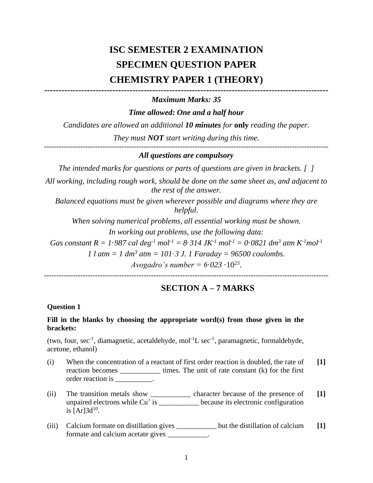# **ISC SEMESTER 2 EXAMINATION SPECIMEN QUESTION PAPER CHEMISTRY PAPER 1 (THEORY)**

### **----------------------------------------------------------------------------------------------------** *Maximum Marks: 35*

*Time allowed: One and a half hour*

*Candidates are allowed an additional 10 minutes for* **only** *reading the paper.*

*They must NOT start writing during this time.*

# *All questions are compulsory*

*The intended marks for questions or parts of questions are given in brackets. [ ]*

*All working, including rough work, should be done on the same sheet as, and adjacent to the rest of the answer.*

*Balanced equations must be given wherever possible and diagrams where they are helpful.*

*When solving numerical problems, all essential working must be shown. In working out problems, use the following data:*

*Gas constant R = 1*·*987 cal deg<sup>-1</sup> mol*<sup>-1</sup> = 8·*314 JK*<sup>-1</sup> *mol*<sup>-1</sup> = 0·*0821 dm*<sup>3</sup> *atm K*<sup>-1</sup>*mol*<sup>-1</sup>

*1 l atm = 1 dm<sup>3</sup> atm = 101*·*3 J. 1 Faraday = 96500 coulombs.*

*Avogadro's number =*  $6.023 \cdot 10^{23}$ *.* 

---------------------------------------------------------------------------------------------------------------------

## **SECTION A – 7 MARKS**

#### **Question 1**

#### **Fill in the blanks by choosing the appropriate word(s) from those given in the brackets:**

(two, four, sec<sup>-1</sup>, diamagnetic, acetaldehyde, mol<sup>-1</sup>L sec<sup>-1</sup>, paramagnetic, formaldehyde, acetone, ethanol)

- (i) When the concentration of a reactant of first order reaction is doubled, the rate of reaction becomes \_\_\_\_\_\_\_\_\_\_\_\_\_\_\_ times. The unit of rate constant (k) for the first order reaction is  $\qquad \qquad$ **[1]**
- (ii) The transition metals show \_\_\_\_\_\_\_\_\_\_\_ character because of the presence of unpaired electrons while  $Cu^+$  is \_\_\_\_\_\_\_\_\_\_\_\_ because its electronic configuration is  $[Ar]3d^{10}$ . **[1]**
- (iii) Calcium formate on distillation gives \_\_\_\_\_\_\_\_\_\_\_ but the distillation of calcium formate and calcium acetate gives \_\_\_\_\_\_\_\_\_\_\_. **[1]**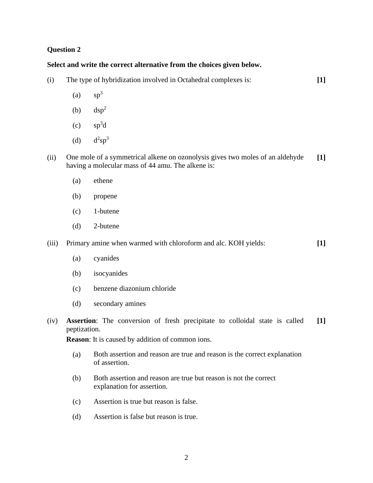## **Question 2**

# **Select and write the correct alternative from the choices given below.**

| (i)   | The type of hybridization involved in Octahedral complexes is:                                              |                                                                                                                                    |       |  |  |
|-------|-------------------------------------------------------------------------------------------------------------|------------------------------------------------------------------------------------------------------------------------------------|-------|--|--|
|       | (a)                                                                                                         | $sp^3$                                                                                                                             |       |  |  |
|       | (b)                                                                                                         | $\rm{dsp}^2$                                                                                                                       |       |  |  |
|       | (c)                                                                                                         | $sp^3d$                                                                                                                            |       |  |  |
|       | (d)                                                                                                         | $d^2sp^3$                                                                                                                          |       |  |  |
| (ii)  |                                                                                                             | One mole of a symmetrical alkene on ozonolysis gives two moles of an aldehyde<br>having a molecular mass of 44 amu. The alkene is: | $[1]$ |  |  |
|       | (a)                                                                                                         | ethene                                                                                                                             |       |  |  |
|       | (b)                                                                                                         | propene                                                                                                                            |       |  |  |
|       | (c)                                                                                                         | 1-butene                                                                                                                           |       |  |  |
|       | (d)                                                                                                         | 2-butene                                                                                                                           |       |  |  |
| (iii) |                                                                                                             | Primary amine when warmed with chloroform and alc. KOH yields:                                                                     | $[1]$ |  |  |
|       | (a)                                                                                                         | cyanides                                                                                                                           |       |  |  |
|       | (b)                                                                                                         | isocyanides                                                                                                                        |       |  |  |
|       | (c)                                                                                                         | benzene diazonium chloride                                                                                                         |       |  |  |
|       | (d)                                                                                                         | secondary amines                                                                                                                   |       |  |  |
| (iv)  | <b>Assertion:</b> The conversion of fresh precipitate to colloidal state is called<br>$[1]$<br>peptization. |                                                                                                                                    |       |  |  |
|       | <b>Reason:</b> It is caused by addition of common ions.                                                     |                                                                                                                                    |       |  |  |
|       | (a)                                                                                                         | Both assertion and reason are true and reason is the correct explanation<br>of assertion.                                          |       |  |  |
|       | (b)                                                                                                         | Both assertion and reason are true but reason is not the correct<br>explanation for assertion.                                     |       |  |  |
|       | (c)                                                                                                         | Assertion is true but reason is false.                                                                                             |       |  |  |

(d) Assertion is false but reason is true.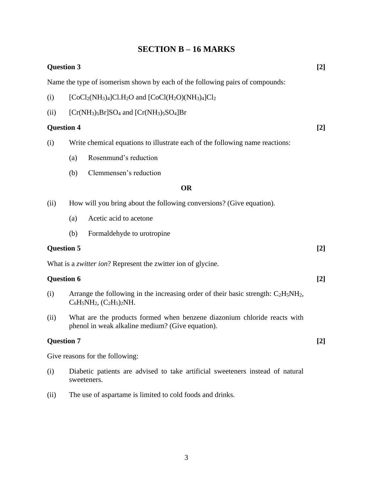## **SECTION B – 16 MARKS**

| <b>Question 3</b>                                                             |                                                                                                                              |                                           |       |  |  |  |  |
|-------------------------------------------------------------------------------|------------------------------------------------------------------------------------------------------------------------------|-------------------------------------------|-------|--|--|--|--|
| Name the type of isomerism shown by each of the following pairs of compounds: |                                                                                                                              |                                           |       |  |  |  |  |
| (i)                                                                           | $[CoCl2(NH3)4]Cl.H2O$ and $[CoCl(H2O)(NH3)4]Cl2$                                                                             |                                           |       |  |  |  |  |
| (ii)                                                                          | $[Cr(NH3)5Br]SO4$ and $[Cr(NH3)5SO4]Br$                                                                                      |                                           |       |  |  |  |  |
| <b>Question 4</b>                                                             |                                                                                                                              |                                           |       |  |  |  |  |
| (i)                                                                           | Write chemical equations to illustrate each of the following name reactions:                                                 |                                           |       |  |  |  |  |
|                                                                               | (a)                                                                                                                          | Rosenmund's reduction                     |       |  |  |  |  |
|                                                                               | (b)                                                                                                                          | Clemmensen's reduction                    |       |  |  |  |  |
|                                                                               | <b>OR</b>                                                                                                                    |                                           |       |  |  |  |  |
| (ii)                                                                          | How will you bring about the following conversions? (Give equation).                                                         |                                           |       |  |  |  |  |
|                                                                               | (a)                                                                                                                          | Acetic acid to acetone                    |       |  |  |  |  |
|                                                                               | (b)                                                                                                                          | Formaldehyde to urotropine                |       |  |  |  |  |
|                                                                               | <b>Question 5</b>                                                                                                            |                                           |       |  |  |  |  |
| What is a <i>zwitter ion</i> ? Represent the zwitter ion of glycine.          |                                                                                                                              |                                           |       |  |  |  |  |
| <b>Question 6</b>                                                             |                                                                                                                              |                                           | $[2]$ |  |  |  |  |
| (i)                                                                           | Arrange the following in the increasing order of their basic strength: $C_2H_5NH_2$ ,<br>$C_6H_5NH_2$ , $(C_2H_5)_2NH.$      |                                           |       |  |  |  |  |
| (ii)                                                                          | What are the products formed when benzene diazonium chloride reacts with<br>phenol in weak alkaline medium? (Give equation). |                                           |       |  |  |  |  |
|                                                                               | <b>Question 7</b>                                                                                                            |                                           |       |  |  |  |  |
|                                                                               |                                                                                                                              | $\sim$ $\sim$ $\sim$ $\sim$ $\sim$ $\sim$ |       |  |  |  |  |

Give reasons for the following:

- (i) Diabetic patients are advised to take artificial sweeteners instead of natural sweeteners.
- (ii) The use of aspartame is limited to cold foods and drinks.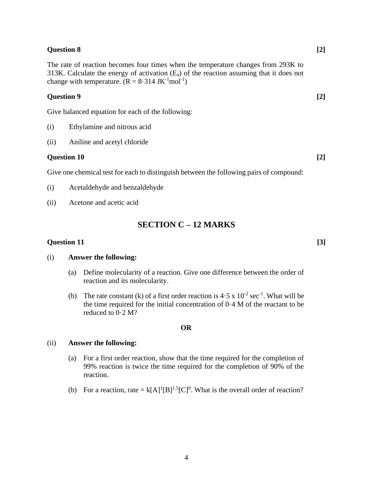#### **Question 8 [2]**

The rate of reaction becomes four times when the temperature changes from 293K to 313K. Calculate the energy of activation  $(E_a)$  of the reaction assuming that it does not change with temperature.  $(R = 8.314 \text{ JK}^{-1} \text{mol}^{-1})$ 

#### **Question 9 [2]**

Give balanced equation for each of the following:

- (i) Ethylamine and nitrous acid
- (ii) Aniline and acetyl chloride

#### **Question 10 [2]**

Give one chemical test for each to distinguish between the following pairs of compound:

- (i) Acetaldehyde and benzaldehyde
- (ii) Acetone and acetic acid

### **SECTION C – 12 MARKS**

#### **Question 11 [3]**

#### (i) **Answer the following:**

- (a) Define molecularity of a reaction. Give one difference between the order of reaction and its molecularity.
- (b) The rate constant (k) of a first order reaction is  $4.5 \times 10^{-2}$  sec<sup>-1</sup>. What will be the time required for the initial concentration of 0·4 M of the reactant to be reduced to 0·2 M?

#### **OR**

#### (ii) **Answer the following:**

- (a) For a first order reaction, show that the time required for the completion of 99% reaction is twice the time required for the completion of 90% of the reaction.
- (b) For a reaction, rate =  $k[A]^1[B]^{1.5}[C]^0$ . What is the overall order of reaction?